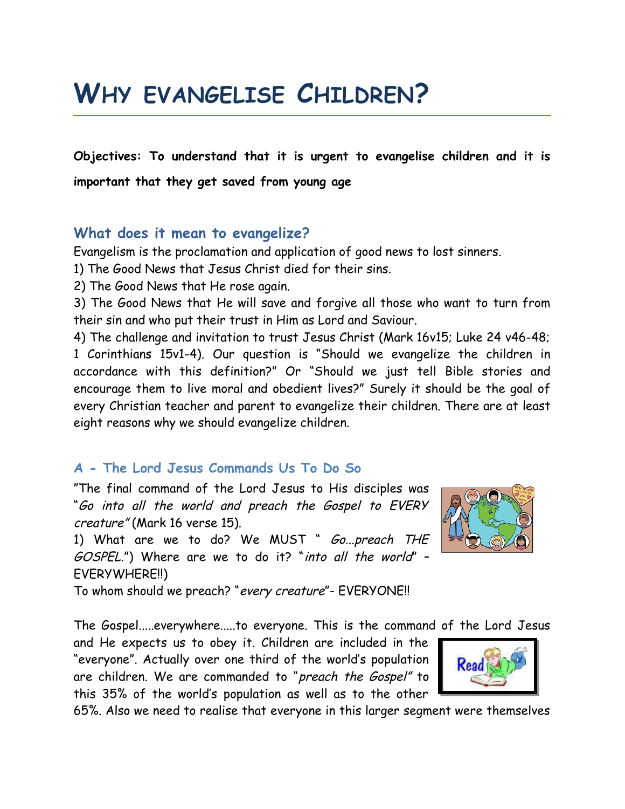# **WHY EVANGELISE CHILDREN?**

**Objectives: To understand that it is urgent to evangelise children and it is important that they get saved from young age**

# **What does it mean to evangelize?**

Evangelism is the proclamation and application of good news to lost sinners.

1) The Good News that Jesus Christ died for their sins.

2) The Good News that He rose again.

3) The Good News that He will save and forgive all those who want to turn from their sin and who put their trust in Him as Lord and Saviour.

4) The challenge and invitation to trust Jesus Christ (Mark 16v15; Luke 24 v46-48; 1 Corinthians 15v1-4). Our question is "Should we evangelize the children in accordance with this definition?" Or "Should we just tell Bible stories and encourage them to live moral and obedient lives?" Surely it should be the goal of every Christian teacher and parent to evangelize their children. There are at least eight reasons why we should evangelize children.

# **A - The Lord Jesus Commands Us To Do So**

"The final command of the Lord Jesus to His disciples was "Go into all the world and preach the Gospel to EVERY creature" (Mark 16 verse 15).

1) What are we to do? We MUST " Go...preach THE GOSPEL.") Where are we to do it? "into all the world" – EVERYWHERE!!)



To whom should we preach? "every creature"- EVERYONE!!

The Gospel.....everywhere.....to everyone. This is the command of the Lord Jesus

and He expects us to obey it. Children are included in the "everyone". Actually over one third of the world's population are children. We are commanded to "preach the Gospel" to this 35% of the world's population as well as to the other



65%. Also we need to realise that everyone in this larger segment were themselves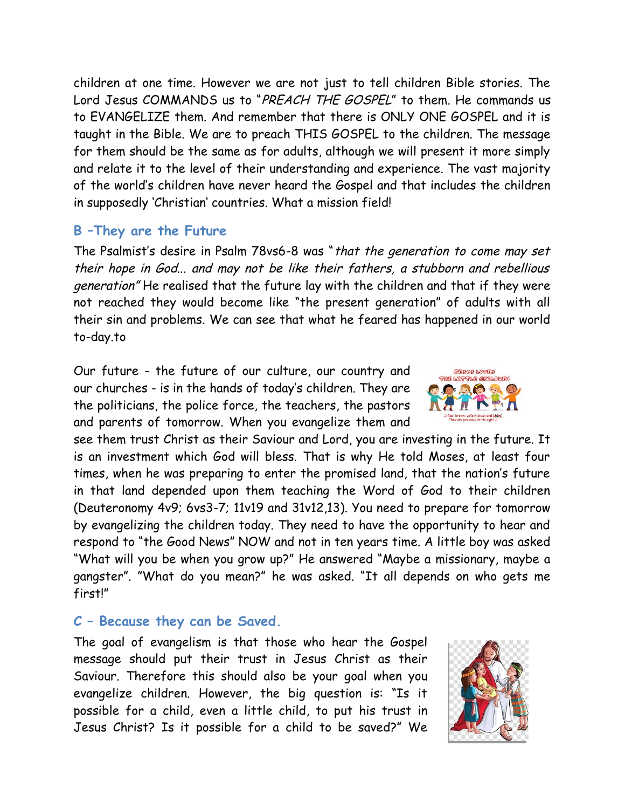children at one time. However we are not just to tell children Bible stories. The Lord Jesus COMMANDS us to "PREACH THE GOSPEL" to them. He commands us to EVANGELIZE them. And remember that there is ONLY ONE GOSPEL and it is taught in the Bible. We are to preach THIS GOSPEL to the children. The message for them should be the same as for adults, although we will present it more simply and relate it to the level of their understanding and experience. The vast majority of the world's children have never heard the Gospel and that includes the children in supposedly 'Christian' countries. What a mission field!

# **B –They are the Future**

The Psalmist's desire in Psalm 78vs6-8 was "that the generation to come may set their hope in God... and may not be like their fathers, a stubborn and rebellious generation" He realised that the future lay with the children and that if they were not reached they would become like "the present generation" of adults with all their sin and problems. We can see that what he feared has happened in our world to-day.to

Our future - the future of our culture, our country and our churches - is in the hands of today's children. They are the politicians, the police force, the teachers, the pastors and parents of tomorrow. When you evangelize them and

see them trust Christ as their Saviour and Lord, you are investing in the future. It is an investment which God will bless. That is why He told Moses, at least four times, when he was preparing to enter the promised land, that the nation's future in that land depended upon them teaching the Word of God to their children (Deuteronomy 4v9; 6vs3-7; 11v19 and 31v12,13). You need to prepare for tomorrow by evangelizing the children today. They need to have the opportunity to hear and respond to "the Good News" NOW and not in ten years time. A little boy was asked "What will you be when you grow up?" He answered "Maybe a missionary, maybe a gangster". "What do you mean?" he was asked. "It all depends on who gets me first!"

# **C – Because they can be Saved.**

The goal of evangelism is that those who hear the Gospel message should put their trust in Jesus Christ as their Saviour. Therefore this should also be your goal when you evangelize children. However, the big question is: "Is it possible for a child, even a little child, to put his trust in Jesus Christ? Is it possible for a child to be saved?" We



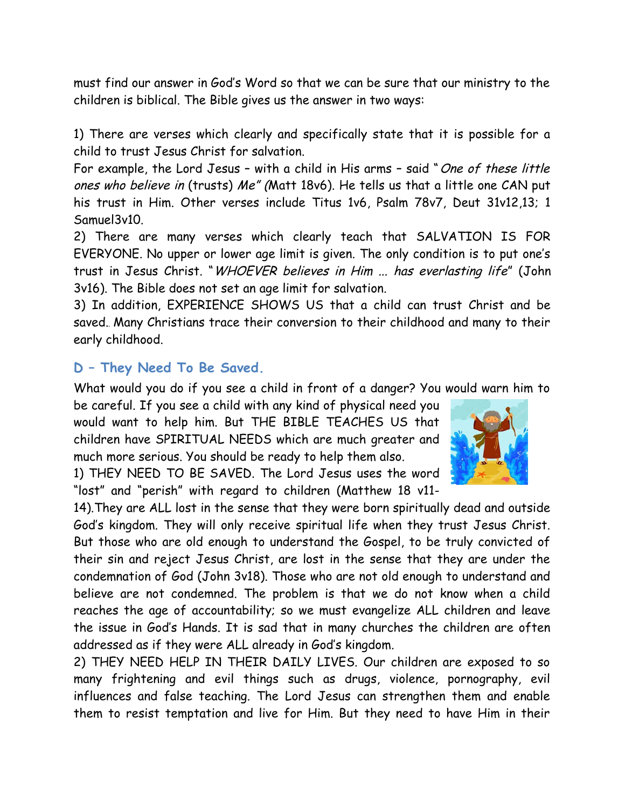must find our answer in God's Word so that we can be sure that our ministry to the children is biblical. The Bible gives us the answer in two ways:

1) There are verses which clearly and specifically state that it is possible for a child to trust Jesus Christ for salvation.

For example, the Lord Jesus - with a child in His arms - said "One of these little ones who believe in (trusts) Me" (Matt 18v6). He tells us that a little one CAN put his trust in Him. Other verses include Titus 1v6, Psalm 78v7, Deut 31v12,13; 1 Samuel3v10.

2) There are many verses which clearly teach that SALVATION IS FOR EVERYONE. No upper or lower age limit is given. The only condition is to put one's trust in Jesus Christ. "WHOEVER believes in Him ... has everlasting life" (John 3v16). The Bible does not set an age limit for salvation.

3) In addition, EXPERIENCE SHOWS US that a child can trust Christ and be saved. Many Christians trace their conversion to their childhood and many to their early childhood.

# **D – They Need To Be Saved.**

What would you do if you see a child in front of a danger? You would warn him to

be careful. If you see a child with any kind of physical need you would want to help him. But THE BIBLE TEACHES US that children have SPIRITUAL NEEDS which are much greater and much more serious. You should be ready to help them also.

1) THEY NEED TO BE SAVED. The Lord Jesus uses the word "lost" and "perish" with regard to children (Matthew 18 v11-

14).They are ALL lost in the sense that they were born spiritually dead and outside God's kingdom. They will only receive spiritual life when they trust Jesus Christ. But those who are old enough to understand the Gospel, to be truly convicted of their sin and reject Jesus Christ, are lost in the sense that they are under the condemnation of God (John 3v18). Those who are not old enough to understand and believe are not condemned. The problem is that we do not know when a child reaches the age of accountability; so we must evangelize ALL children and leave the issue in God's Hands. It is sad that in many churches the children are often addressed as if they were ALL already in God's kingdom.

2) THEY NEED HELP IN THEIR DAILY LIVES. Our children are exposed to so many frightening and evil things such as drugs, violence, pornography, evil influences and false teaching. The Lord Jesus can strengthen them and enable them to resist temptation and live for Him. But they need to have Him in their

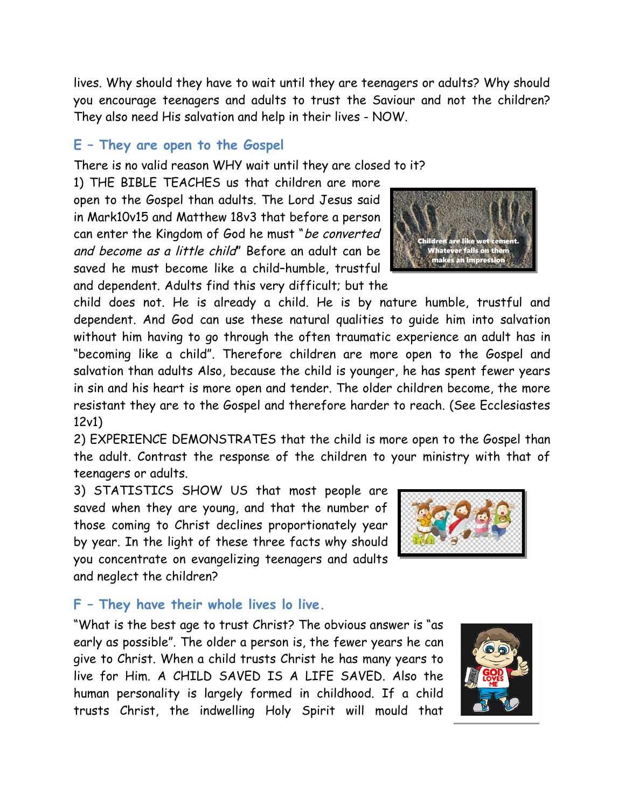lives. Why should they have to wait until they are teenagers or adults? Why should you encourage teenagers and adults to trust the Saviour and not the children? They also need His salvation and help in their lives - NOW.

#### **E – They are open to the Gospel**

There is no valid reason WHY wait until they are closed to it?

1) THE BIBLE TEACHES us that children are more open to the Gospel than adults. The Lord Jesus said in Mark10v15 and Matthew 18v3 that before a person can enter the Kingdom of God he must "be converted and become as a little child" Before an adult can be saved he must become like a child–humble, trustful and dependent. Adults find this very difficult; but the

child does not. He is already a child. He is by nature humble, trustful and dependent. And God can use these natural qualities to guide him into salvation without him having to go through the often traumatic experience an adult has in "becoming like a child". Therefore children are more open to the Gospel and salvation than adults Also, because the child is younger, he has spent fewer years in sin and his heart is more open and tender. The older children become, the more resistant they are to the Gospel and therefore harder to reach. (See Ecclesiastes 12v1)

2) EXPERIENCE DEMONSTRATES that the child is more open to the Gospel than the adult. Contrast the response of the children to your ministry with that of teenagers or adults.

3) STATISTICS SHOW US that most people are saved when they are young, and that the number of those coming to Christ declines proportionately year by year. In the light of these three facts why should you concentrate on evangelizing teenagers and adults and neglect the children?



#### **F – They have their whole lives lo live.**

"What is the best age to trust Christ? The obvious answer is "as early as possible". The older a person is, the fewer years he can give to Christ. When a child trusts Christ he has many years to live for Him. A CHILD SAVED IS A LIFE SAVED. Also the human personality is largely formed in childhood. If a child trusts Christ, the indwelling Holy Spirit will mould that



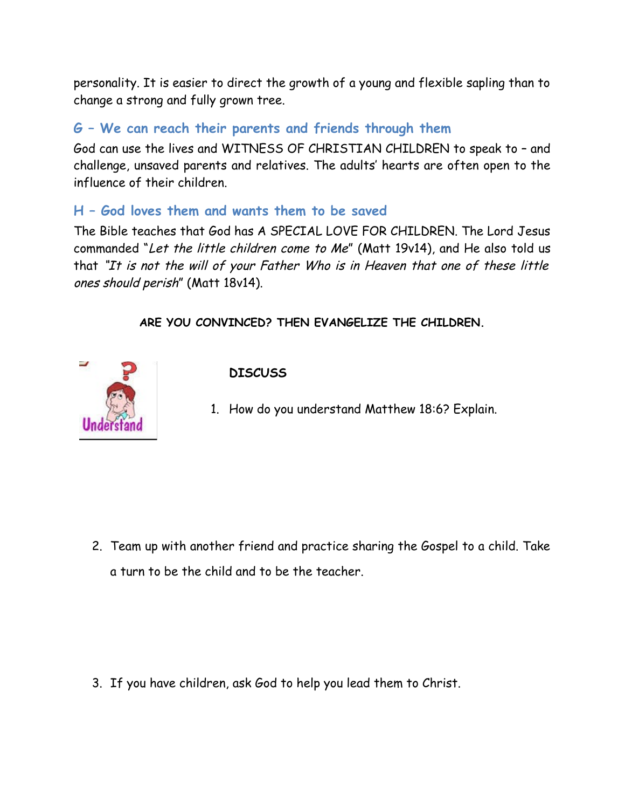personality. It is easier to direct the growth of a young and flexible sapling than to change a strong and fully grown tree.

# **G – We can reach their parents and friends through them**

God can use the lives and WITNESS OF CHRISTIAN CHILDREN to speak to – and challenge, unsaved parents and relatives. The adults' hearts are often open to the influence of their children.

### **H – God loves them and wants them to be saved**

The Bible teaches that God has A SPECIAL LOVE FOR CHILDREN. The Lord Jesus commanded "Let the little children come to Me" (Matt 19v14), and He also told us that "It is not the will of your Father Who is in Heaven that one of these little ones should perish" (Matt 18v14).

#### **ARE YOU CONVINCED? THEN EVANGELIZE THE CHILDREN.**



#### **DISCUSS**

1. How do you understand Matthew 18:6? Explain.

2. Team up with another friend and practice sharing the Gospel to a child. Take a turn to be the child and to be the teacher.

3. If you have children, ask God to help you lead them to Christ.